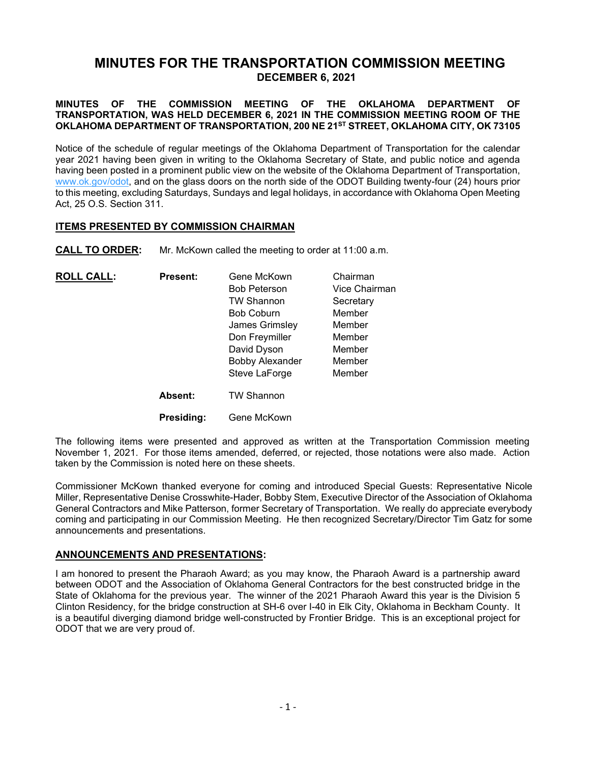# **MINUTES FOR THE TRANSPORTATION COMMISSION MEETING DECEMBER 6, 2021**

# **MINUTES OF THE COMMISSION MEETING OF THE OKLAHOMA DEPARTMENT OF TRANSPORTATION, WAS HELD DECEMBER 6, 2021 IN THE COMMISSION MEETING ROOM OF THE OKLAHOMA DEPARTMENT OF TRANSPORTATION, 200 NE 21ST STREET, OKLAHOMA CITY, OK 73105**

Notice of the schedule of regular meetings of the Oklahoma Department of Transportation for the calendar year 2021 having been given in writing to the Oklahoma Secretary of State, and public notice and agenda having been posted in a prominent public view on the website of the Oklahoma Department of Transportation, [www.ok.gov/odot,](http://www.ok.gov/odot) and on the glass doors on the north side of the ODOT Building twenty-four (24) hours prior to this meeting, excluding Saturdays, Sundays and legal holidays, in accordance with Oklahoma Open Meeting Act, 25 O.S. Section 311.

# **ITEMS PRESENTED BY COMMISSION CHAIRMAN**

**CALL TO ORDER:** Mr. McKown called the meeting to order at 11:00 a.m.

| <b>ROLL CALL:</b> | <b>Present:</b> | Gene McKown            | Chairman      |
|-------------------|-----------------|------------------------|---------------|
|                   |                 | <b>Bob Peterson</b>    | Vice Chairman |
|                   |                 | <b>TW Shannon</b>      | Secretary     |
|                   |                 | <b>Bob Coburn</b>      | Member        |
|                   |                 | James Grimsley         | Member        |
|                   |                 | Don Freymiller         | Member        |
|                   |                 | David Dyson            | Member        |
|                   |                 | <b>Bobby Alexander</b> | Member        |
|                   |                 | Steve LaForge          | Member        |
|                   | Absent:         | <b>TW Shannon</b>      |               |
|                   | Presiding:      | Gene McKown            |               |

The following items were presented and approved as written at the Transportation Commission meeting November 1, 2021. For those items amended, deferred, or rejected, those notations were also made. Action taken by the Commission is noted here on these sheets.

Commissioner McKown thanked everyone for coming and introduced Special Guests: Representative Nicole Miller, Representative Denise Crosswhite-Hader, Bobby Stem, Executive Director of the Association of Oklahoma General Contractors and Mike Patterson, former Secretary of Transportation. We really do appreciate everybody coming and participating in our Commission Meeting. He then recognized Secretary/Director Tim Gatz for some announcements and presentations.

# **ANNOUNCEMENTS AND PRESENTATIONS:**

I am honored to present the Pharaoh Award; as you may know, the Pharaoh Award is a partnership award between ODOT and the Association of Oklahoma General Contractors for the best constructed bridge in the State of Oklahoma for the previous year. The winner of the 2021 Pharaoh Award this year is the Division 5 Clinton Residency, for the bridge construction at SH-6 over I-40 in Elk City, Oklahoma in Beckham County. It is a beautiful diverging diamond bridge well-constructed by Frontier Bridge. This is an exceptional project for ODOT that we are very proud of.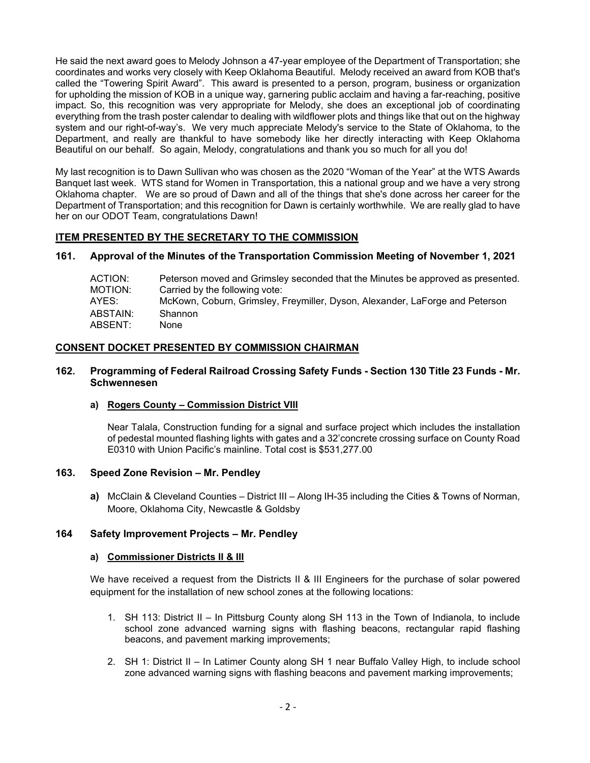He said the next award goes to Melody Johnson a 47-year employee of the Department of Transportation; she coordinates and works very closely with Keep Oklahoma Beautiful. Melody received an award from KOB that's called the "Towering Spirit Award". This award is presented to a person, program, business or organization for upholding the mission of KOB in a unique way, garnering public acclaim and having a far-reaching, positive impact. So, this recognition was very appropriate for Melody, she does an exceptional job of coordinating everything from the trash poster calendar to dealing with wildflower plots and things like that out on the highway system and our right-of-way's. We very much appreciate Melody's service to the State of Oklahoma, to the Department, and really are thankful to have somebody like her directly interacting with Keep Oklahoma Beautiful on our behalf. So again, Melody, congratulations and thank you so much for all you do!

My last recognition is to Dawn Sullivan who was chosen as the 2020 "Woman of the Year" at the WTS Awards Banquet last week. WTS stand for Women in Transportation, this a national group and we have a very strong Oklahoma chapter. We are so proud of Dawn and all of the things that she's done across her career for the Department of Transportation; and this recognition for Dawn is certainly worthwhile. We are really glad to have her on our ODOT Team, congratulations Dawn!

# **ITEM PRESENTED BY THE SECRETARY TO THE COMMISSION**

# **161. Approval of the Minutes of the Transportation Commission Meeting of November 1, 2021**

| ACTION:  | Peterson moved and Grimsley seconded that the Minutes be approved as presented. |
|----------|---------------------------------------------------------------------------------|
| MOTION:  | Carried by the following vote:                                                  |
| AYES: .  | McKown, Coburn, Grimsley, Freymiller, Dyson, Alexander, LaForge and Peterson    |
| ABSTAIN: | Shannon                                                                         |
| ABSENT:  | <b>None</b>                                                                     |

# **CONSENT DOCKET PRESENTED BY COMMISSION CHAIRMAN**

# **162. Programming of Federal Railroad Crossing Safety Funds - Section 130 Title 23 Funds - Mr. Schwennesen**

# **a) Rogers County – Commission District VIII**

Near Talala, Construction funding for a signal and surface project which includes the installation of pedestal mounted flashing lights with gates and a 32'concrete crossing surface on County Road E0310 with Union Pacific's mainline. Total cost is \$531,277.00

# **163. Speed Zone Revision – Mr. Pendley**

**a)** McClain & Cleveland Counties – District III – Along IH-35 including the Cities & Towns of Norman, Moore, Oklahoma City, Newcastle & Goldsby

# **164 Safety Improvement Projects – Mr. Pendley**

#### **a) Commissioner Districts II & III**

We have received a request from the Districts II & III Engineers for the purchase of solar powered equipment for the installation of new school zones at the following locations:

- 1. SH 113: District II In Pittsburg County along SH 113 in the Town of Indianola, to include school zone advanced warning signs with flashing beacons, rectangular rapid flashing beacons, and pavement marking improvements;
- 2. SH 1: District II In Latimer County along SH 1 near Buffalo Valley High, to include school zone advanced warning signs with flashing beacons and pavement marking improvements;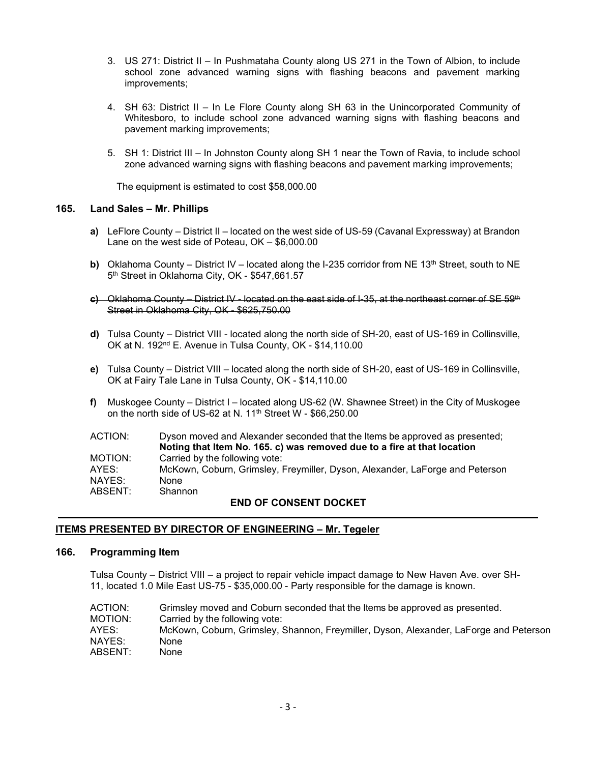- 3. US 271: District II In Pushmataha County along US 271 in the Town of Albion, to include school zone advanced warning signs with flashing beacons and pavement marking improvements;
- 4. SH 63: District II In Le Flore County along SH 63 in the Unincorporated Community of Whitesboro, to include school zone advanced warning signs with flashing beacons and pavement marking improvements;
- 5. SH 1: District III In Johnston County along SH 1 near the Town of Ravia, to include school zone advanced warning signs with flashing beacons and pavement marking improvements;

The equipment is estimated to cost \$58,000.00

# **165. Land Sales – Mr. Phillips**

- **a)** LeFlore County District II located on the west side of US-59 (Cavanal Expressway) at Brandon Lane on the west side of Poteau, OK – \$6,000.00
- **b)** Oklahoma County District IV located along the I-235 corridor from NE 13<sup>th</sup> Street, south to NE 5<sup>th</sup> Street in Oklahoma City, OK - \$547,661.57
- **c)** Oklahoma County District IV located on the east side of I-35, at the northeast corner of SE 59th Street in Oklahoma City, OK - \$625,750.00
- **d)** Tulsa County District VIII located along the north side of SH-20, east of US-169 in Collinsville, OK at N. 192nd E. Avenue in Tulsa County, OK - \$14,110.00
- **e)** Tulsa County District VIII located along the north side of SH-20, east of US-169 in Collinsville, OK at Fairy Tale Lane in Tulsa County, OK - \$14,110.00
- **f)** Muskogee County District I located along US-62 (W. Shawnee Street) in the City of Muskogee on the north side of US-62 at N.  $11<sup>th</sup>$  Street W - \$66,250.00

| ACTION: | Dyson moved and Alexander seconded that the Items be approved as presented;  |
|---------|------------------------------------------------------------------------------|
|         | Noting that Item No. 165. c) was removed due to a fire at that location      |
| MOTION: | Carried by the following vote:                                               |
| AYES:   | McKown, Coburn, Grimsley, Freymiller, Dyson, Alexander, LaForge and Peterson |
| NAYES:  | None                                                                         |
| ABSENT: | Shannon                                                                      |
|         | FUR OF CONOFUT BOOKET                                                        |

#### **END OF CONSENT DOCKET**

# **ITEMS PRESENTED BY DIRECTOR OF ENGINEERING – Mr. Tegeler**

#### **166. Programming Item**

Tulsa County – District VIII – a project to repair vehicle impact damage to New Haven Ave. over SH-11, located 1.0 Mile East US-75 - \$35,000.00 - Party responsible for the damage is known.

| ACTION: | Grimsley moved and Coburn seconded that the Items be approved as presented.           |
|---------|---------------------------------------------------------------------------------------|
| MOTION: | Carried by the following vote:                                                        |
| AYES:   | McKown, Coburn, Grimsley, Shannon, Freymiller, Dyson, Alexander, LaForge and Peterson |
| NAYES:  | None                                                                                  |
| ABSENT: | None                                                                                  |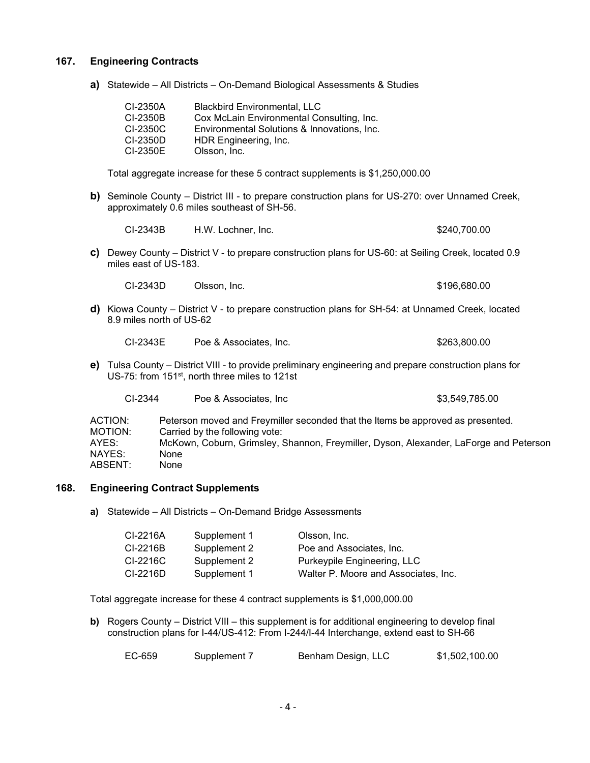# **167. Engineering Contracts**

**a)** Statewide – All Districts – On-Demand Biological Assessments & Studies

|                                                                                                                                                                       | CI-2350A<br>CI-2350B<br>CI-2350C<br>CI-2350D<br>CI-2350E                                                                    | <b>Blackbird Environmental, LLC</b><br>Cox McLain Environmental Consulting, Inc.<br>Environmental Solutions & Innovations, Inc.<br>HDR Engineering, Inc.<br>Olsson, Inc. |                                                                                                                                                                          |
|-----------------------------------------------------------------------------------------------------------------------------------------------------------------------|-----------------------------------------------------------------------------------------------------------------------------|--------------------------------------------------------------------------------------------------------------------------------------------------------------------------|--------------------------------------------------------------------------------------------------------------------------------------------------------------------------|
|                                                                                                                                                                       |                                                                                                                             | Total aggregate increase for these 5 contract supplements is \$1,250,000.00                                                                                              |                                                                                                                                                                          |
|                                                                                                                                                                       |                                                                                                                             | approximately 0.6 miles southeast of SH-56.                                                                                                                              | b) Seminole County – District III - to prepare construction plans for US-270: over Unnamed Creek,                                                                        |
|                                                                                                                                                                       | CI-2343B                                                                                                                    | H.W. Lochner, Inc.                                                                                                                                                       | \$240,700.00                                                                                                                                                             |
| C)                                                                                                                                                                    | Dewey County - District V - to prepare construction plans for US-60: at Seiling Creek, located 0.9<br>miles east of US-183. |                                                                                                                                                                          |                                                                                                                                                                          |
|                                                                                                                                                                       | CI-2343D                                                                                                                    | Olsson, Inc.                                                                                                                                                             | \$196,680.00                                                                                                                                                             |
| <b>d)</b> Kiowa County – District V - to prepare construction plans for SH-54: at Unnamed Creek, located<br>8.9 miles north of US-62                                  |                                                                                                                             |                                                                                                                                                                          |                                                                                                                                                                          |
|                                                                                                                                                                       | CI-2343E                                                                                                                    | Poe & Associates, Inc.                                                                                                                                                   | \$263,800.00                                                                                                                                                             |
| e) Tulsa County – District VIII - to provide preliminary engineering and prepare construction plans for<br>US-75: from 151 <sup>st</sup> , north three miles to 121st |                                                                                                                             |                                                                                                                                                                          |                                                                                                                                                                          |
|                                                                                                                                                                       | CI-2344                                                                                                                     | Poe & Associates, Inc.                                                                                                                                                   | \$3,549,785.00                                                                                                                                                           |
|                                                                                                                                                                       | ACTION:<br>MOTION:<br>AYES:<br>NAYES:<br>None<br>ABSENT:<br>None                                                            | Carried by the following vote:                                                                                                                                           | Peterson moved and Freymiller seconded that the Items be approved as presented.<br>McKown, Coburn, Grimsley, Shannon, Freymiller, Dyson, Alexander, LaForge and Peterson |

# **168. Engineering Contract Supplements**

**a)** Statewide – All Districts – On-Demand Bridge Assessments

| CI-2216A | Supplement 1 | Olsson, Inc.                         |
|----------|--------------|--------------------------------------|
| CI-2216B | Supplement 2 | Poe and Associates, Inc.             |
| CI-2216C | Supplement 2 | Purkeypile Engineering, LLC          |
| CI-2216D | Supplement 1 | Walter P. Moore and Associates, Inc. |

Total aggregate increase for these 4 contract supplements is \$1,000,000.00

**b)** Rogers County – District VIII – this supplement is for additional engineering to develop final construction plans for I-44/US-412: From I-244/I-44 Interchange, extend east to SH-66

| EC-659 | Supplement 7 | Benham Design, LLC | \$1,502,100.00 |
|--------|--------------|--------------------|----------------|
|--------|--------------|--------------------|----------------|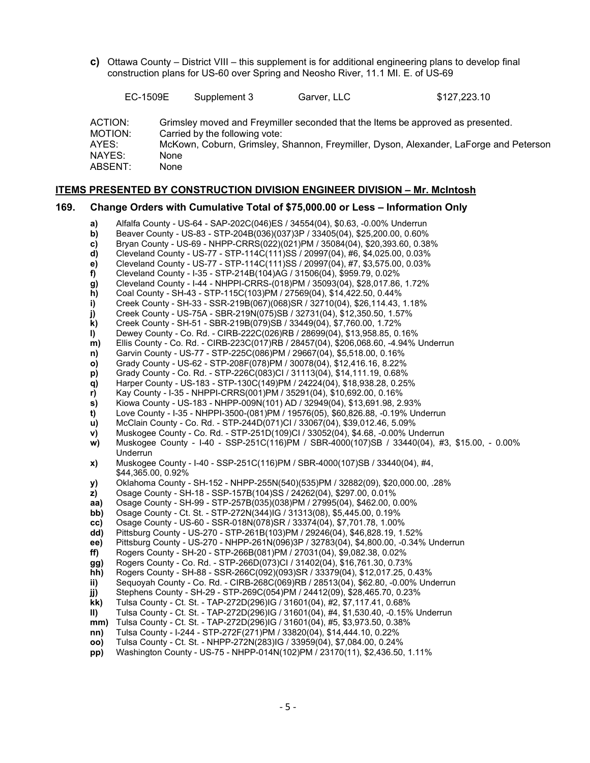**c)** Ottawa County – District VIII – this supplement is for additional engineering plans to develop final construction plans for US-60 over Spring and Neosho River, 11.1 MI. E. of US-69

EC-1509E Supplement 3 Garver, LLC \$127,223.10

ACTION: Grimsley moved and Freymiller seconded that the Items be approved as presented.<br>MOTION: Carried by the following vote: Carried by the following vote: AYES: McKown, Coburn, Grimsley, Shannon, Freymiller, Dyson, Alexander, LaForge and Peterson NAYES: None<br>ABSENT: None ABSENT:

#### **ITEMS PRESENTED BY CONSTRUCTION DIVISION ENGINEER DIVISION – Mr. McIntosh**

#### **169. Change Orders with Cumulative Total of \$75,000.00 or Less – Information Only**

- **a)** Alfalfa County US-64 SAP-202C(046)ES / 34554(04), \$0.63, -0.00% Underrun
- **b)** Beaver County US-83 STP-204B(036)(037)3P / 33405(04), \$25,200.00, 0.60%
- **c)** Bryan County US-69 NHPP-CRRS(022)(021)PM / 35084(04), \$20,393.60, 0.38%
- **d)** Cleveland County US-77 STP-114C(111)SS / 20997(04), #6, \$4,025.00, 0.03%
- **e)** Cleveland County US-77 STP-114C(111)SS / 20997(04), #7, \$3,575.00, 0.03%
- **f)** Cleveland County I-35 STP-214B(104)AG / 31506(04), \$959.79, 0.02%
- **g)** Cleveland County I-44 NHPPI-CRRS-(018)PM / 35093(04), \$28,017.86, 1.72%<br>**h)** Coal County SH-43 STP-115C(103)PM / 27569(04), \$14,422.50, 0.44%
- **h)** Coal County SH-43 STP-115C(103)PM / 27569(04), \$14,422.50, 0.44%
- 
- **i)** Creek County SH-33 SSR-219B(067)(068)SR / 32710(04), \$26,114.43, 1.18% **j)** Creek County - US-75A - SBR-219N(075)SB / 32731(04), \$12,350.50, 1.57%
- **k)** Creek County SH-51 SBR-219B(079)SB / 33449(04), \$7,760.00, 1.72%
- **l)** Dewey County Co. Rd. CIRB-222C(026)RB / 28699(04), \$13,958.85, 0.16%
- **m)** Ellis County Co. Rd. CIRB-223C(017)RB / 28457(04), \$206,068.60, -4.94% Underrun
- **n)** Garvin County US-77 STP-225C(086)PM / 29667(04), \$5,518.00, 0.16%
- **o)** Grady County US-62 STP-208F(078)PM / 30078(04), \$12,416.16, 8.22%
- **p)** Grady County Co. Rd. STP-226C(083)CI / 31113(04), \$14,111.19, 0.68%
- **q)** Harper County US-183 STP-130C(149)PM / 24224(04), \$18,938.28, 0.25%
- 
- **r)** Kay County I-35 NHPPI-CRRS(001)PM / 35291(04), \$10,692.00, 0.16%<br>**s)** Kiowa County US-183 NHPP-009N(101) AD / 32949(04), \$13,691.98, 2. **s)** Kiowa County - US-183 - NHPP-009N(101) AD / 32949(04), \$13,691.98, 2.93%
- **t)** Love County I-35 NHPPI-3500-(081)PM / 19576(05), \$60,826.88, -0.19% Underrun<br> **u)** McClain County Co. Rd. STP-244D(071)Cl / 33067(04), \$39,012.46, 5.09%
- **u)** McClain County Co. Rd. STP-244D(071)CI / 33067(04), \$39,012.46, 5.09%
- **v)** Muskogee County Co. Rd. STP-251D(109)CI / 33052(04), \$4.68, -0.00% Underrun
- **w)** Muskogee County I-40 SSP-251C(116)PM / SBR-4000(107)SB / 33440(04), #3, \$15.00, 0.00% Underrun
- **x)** Muskogee County I-40 SSP-251C(116)PM / SBR-4000(107)SB / 33440(04), #4, \$44,365.00, 0.92%
- **y)** Oklahoma County SH-152 NHPP-255N(540)(535)PM / 32882(09), \$20,000.00, .28%
- **z)** Osage County SH-18 SSP-157B(104)SS / 24262(04), \$297.00, 0.01%
- 
- **aa)** Osage County SH-99 STP-257B(035)(038)PM / 27995(04), \$462.00, 0.00%<br>**bb)** Osage County Ct. St. STP-272N(344)IG / 31313(08), \$5,445.00, 0.19% **bb)** Osage County - Ct. St. - STP-272N(344)IG / 31313(08), \$5,445.00, 0.19%
- **cc)** Osage County US-60 SSR-018N(078)SR / 33374(04), \$7,701.78, 1.00%
- **dd)** Pittsburg County US-270 STP-261B(103)PM / 29246(04), \$46,828.19, 1.52%
- 
- **ee)** Pittsburg County US-270 NHPP-261N(096)3P / 32783(04), \$4,800.00, -0.34% Underrun **ff)** Rogers County - SH-20 - STP-266B(081)PM / 27031(04), \$9,082.38, 0.02%
- 
- **gg)** Rogers County Co. Rd. STP-266D(073)CI / 31402(04), \$16,761.30, 0.73% **hh)** Rogers County - SH-88 - SSR-266C(092)(093)SR / 33379(04), \$12,017.25, 0.43%
- **ii)** Sequoyah County Co. Rd. CIRB-268C(069)RB / 28513(04), \$62.80, -0.00% Underrun<br>**ii)** Stephens County SH-29 STP-269C(054)PM / 24412(09), \$28,465.70, 0.23%
- 
- **jj)** Stephens County SH-29 STP-269C(054)PM / 24412(09), \$28,465.70, 0.23% **kk)** Tulsa County - Ct. St. - TAP-272D(296)IG / 31601(04), #2, \$7,117.41, 0.68%
- **ll)** Tulsa County Ct. St. TAP-272D(296)IG / 31601(04), #4, \$1,530.40, -0.15% Underrun
- **mm)** Tulsa County Ct. St. TAP-272D(296)IG / 31601(04), #5, \$3,973.50, 0.38%
- **nn)** Tulsa County I-244 STP-272F(271)PM / 33820(04), \$14,444.10, 0.22%
- **oo)** Tulsa County Ct. St. NHPP-272N(283)IG / 33959(04), \$7,084.00, 0.24%
- **pp)** Washington County US-75 NHPP-014N(102)PM / 23170(11), \$2,436.50, 1.11%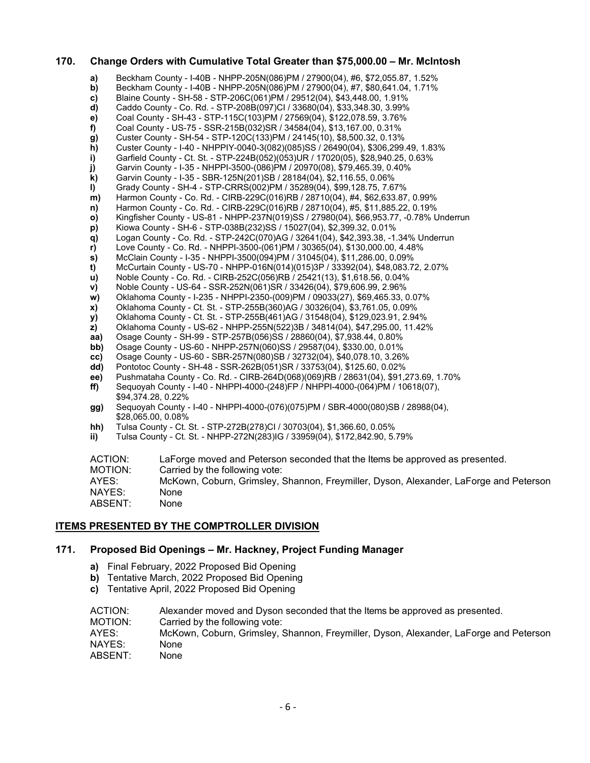# **170. Change Orders with Cumulative Total Greater than \$75,000.00 – Mr. McIntosh**

**a)** Beckham County - I-40B - NHPP-205N(086)PM / 27900(04), #6, \$72,055.87, 1.52% **b)** Beckham County - I-40B - NHPP-205N(086)PM / 27900(04), #7, \$80,641.04, 1.71% **c)** Blaine County - SH-58 - STP-206C(061)PM / 29512(04), \$43,448.00, 1.91% **d)** Caddo County - Co. Rd. - STP-208B(097)CI / 33680(04), \$33,348.30, 3.99% **e)** Coal County - SH-43 - STP-115C(103)PM / 27569(04), \$122,078.59, 3.76% **f)** Coal County - US-75 - SSR-215B(032)SR / 34584(04), \$13,167.00, 0.31% **g)** Custer County - SH-54 - STP-120C(133)PM / 24145(10), \$8,500.32, 0.13%<br> **h)** Custer County - I-40 - NHPPIY-0040-3(082)(085)SS / 26490(04), \$306,299. **h)** Custer County - I-40 - NHPPIY-0040-3(082)(085)SS / 26490(04), \$306,299.49, 1.83% **i)** Garfield County - Ct. St. - STP-224B(052)(053)UR / 17020(05), \$28,940.25, 0.63% **j)** Garvin County - I-35 - NHPPI-3500-(086)PM / 20970(08), \$79,465.39, 0.40% **k)** Garvin County - I-35 - SBR-125N(201)SB / 28184(04), \$2,116.55, 0.06% **l)** Grady County - SH-4 - STP-CRRS(002)PM / 35289(04), \$99,128.75, 7.67% **m)** Harmon County - Co. Rd. - CIRB-229C(016)RB / 28710(04), #4, \$62,633.87, 0.99% **n)** Harmon County - Co. Rd. - CIRB-229C(016)RB / 28710(04), #5, \$11,885.22, 0.19% **o)** Kingfisher County - US-81 - NHPP-237N(019)SS / 27980(04), \$66,953.77, -0.78% Underrun **p)** Kiowa County - SH-6 - STP-038B(232)SS / 15027(04), \$2,399.32, 0.01% **q)** Logan County - Co. Rd. - STP-242C(070)AG / 32641(04), \$42,393.38, -1.34% Underrun **r)** Love County - Co. Rd. - NHPPI-3500-(061)PM / 30365(04), \$130,000.00, 4.48% **s)** McClain County - I-35 - NHPPI-3500(094)PM / 31045(04), \$11,286.00, 0.09% **t)** McCurtain County - US-70 - NHPP-016N(014)(015)3P / 33392(04), \$48,083.72, 2.07% **u)** Noble County - Co. Rd. - CIRB-252C(056)RB / 25421(13), \$1,618.56, 0.04% **v)** Noble County - US-64 - SSR-252N(061)SR / 33426(04), \$79,606.99, 2.96% **w)** Oklahoma County - I-235 - NHPPI-2350-(009)PM / 09033(27), \$69,465.33, 0.07% **x)** Oklahoma County - Ct. St. - STP-255B(360)AG / 30326(04), \$3,761.05, 0.09% **y)** Oklahoma County - Ct. St. - STP-255B(461)AG / 31548(04), \$129,023.91, 2.94% **z)** Oklahoma County - US-62 - NHPP-255N(522)3B / 34814(04), \$47,295.00, 11.42% **aa)** Osage County - SH-99 - STP-257B(056)SS / 28860(04), \$7,938.44, 0.80% **bb)** Osage County - US-60 - NHPP-257N(060)SS / 29587(04), \$330.00, 0.01% **cc)** Osage County - US-60 - SBR-257N(080)SB / 32732(04), \$40,078.10, 3.26% **dd)** Pontotoc County - SH-48 - SSR-262B(051)SR / 33753(04), \$125.60, 0.02% **ee)** Pushmataha County - Co. Rd. - CIRB-264D(068)(069)RB / 28631(04), \$91,273.69, 1.70%<br>**ff)** Sequoyah County - I-40 - NHPPI-4000-(248)FP / NHPPI-4000-(064)PM / 10618(07), **ff)** Sequoyah County - I-40 - NHPPI-4000-(248)FP / NHPPI-4000-(064)PM / 10618(07), \$94,374.28, 0.22% **gg)** Sequoyah County - I-40 - NHPPI-4000-(076)(075)PM / SBR-4000(080)SB / 28988(04), \$28,065.00, 0.08% **hh)** Tulsa County - Ct. St. - STP-272B(278)CI / 30703(04), \$1,366.60, 0.05% **ii)** Tulsa County - Ct. St. - NHPP-272N(283)IG / 33959(04), \$172,842.90, 5.79% ACTION: LaForge moved and Peterson seconded that the Items be approved as presented. MOTION: Carried by the following vote:

AYES: McKown, Coburn, Grimsley, Shannon, Freymiller, Dyson, Alexander, LaForge and Peterson NAYES: None

ABSENT: None

#### **ITEMS PRESENTED BY THE COMPTROLLER DIVISION**

#### **171. Proposed Bid Openings – Mr. Hackney, Project Funding Manager**

- **a)** Final February, 2022 Proposed Bid Opening
- **b)** Tentative March, 2022 Proposed Bid Opening
- **c)** Tentative April, 2022 Proposed Bid Opening

| ACTION: | Alexander moved and Dyson seconded that the Items be approved as presented. |  |
|---------|-----------------------------------------------------------------------------|--|
|         |                                                                             |  |

MOTION: Carried by the following vote:

AYES: McKown, Coburn, Grimsley, Shannon, Freymiller, Dyson, Alexander, LaForge and Peterson NAYES: None

ABSENT: None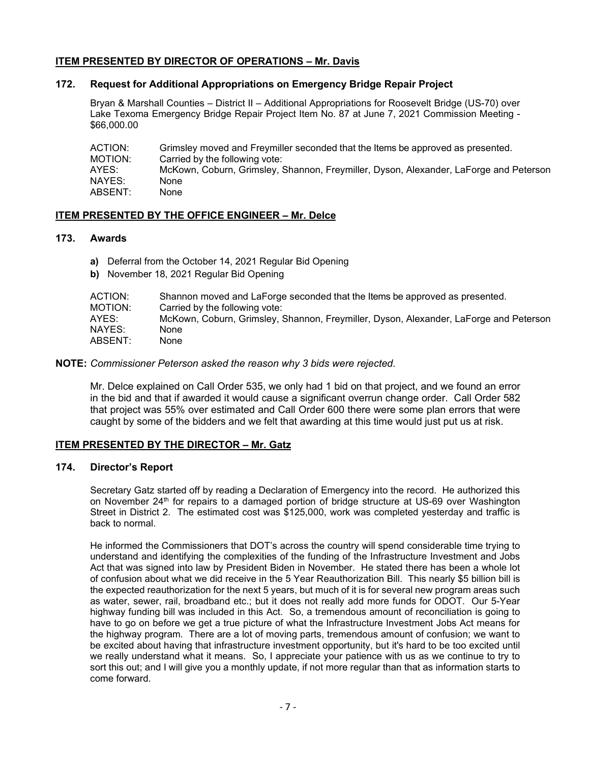# **ITEM PRESENTED BY DIRECTOR OF OPERATIONS – Mr. Davis**

### **172. Request for Additional Appropriations on Emergency Bridge Repair Project**

Bryan & Marshall Counties – District II – Additional Appropriations for Roosevelt Bridge (US-70) over Lake Texoma Emergency Bridge Repair Project Item No. 87 at June 7, 2021 Commission Meeting - \$66,000.00

ACTION: Grimsley moved and Freymiller seconded that the Items be approved as presented.<br>MOTION: Carried by the following vote: Carried by the following vote: AYES: McKown, Coburn, Grimsley, Shannon, Freymiller, Dyson, Alexander, LaForge and Peterson<br>NAYES: None NAYES: ABSENT: None

# **ITEM PRESENTED BY THE OFFICE ENGINEER – Mr. Delce**

### **173. Awards**

- **a)** Deferral from the October 14, 2021 Regular Bid Opening
- **b)** November 18, 2021 Regular Bid Opening

| ACTION:  | Shannon moved and LaForge seconded that the Items be approved as presented.           |
|----------|---------------------------------------------------------------------------------------|
| MOTION:  | Carried by the following vote:                                                        |
| AYES:    | McKown, Coburn, Grimsley, Shannon, Freymiller, Dyson, Alexander, LaForge and Peterson |
| NAYES: I | None                                                                                  |
| ABSENT:  | None                                                                                  |

#### **NOTE:** *Commissioner Peterson asked the reason why 3 bids were rejected.*

Mr. Delce explained on Call Order 535, we only had 1 bid on that project, and we found an error in the bid and that if awarded it would cause a significant overrun change order. Call Order 582 that project was 55% over estimated and Call Order 600 there were some plan errors that were caught by some of the bidders and we felt that awarding at this time would just put us at risk.

#### **ITEM PRESENTED BY THE DIRECTOR – Mr. Gatz**

#### **174. Director's Report**

Secretary Gatz started off by reading a Declaration of Emergency into the record. He authorized this on November 24<sup>th</sup> for repairs to a damaged portion of bridge structure at US-69 over Washington Street in District 2. The estimated cost was \$125,000, work was completed yesterday and traffic is back to normal.

He informed the Commissioners that DOT's across the country will spend considerable time trying to understand and identifying the complexities of the funding of the Infrastructure Investment and Jobs Act that was signed into law by President Biden in November. He stated there has been a whole lot of confusion about what we did receive in the 5 Year Reauthorization Bill. This nearly \$5 billion bill is the expected reauthorization for the next 5 years, but much of it is for several new program areas such as water, sewer, rail, broadband etc.; but it does not really add more funds for ODOT. Our 5-Year highway funding bill was included in this Act. So, a tremendous amount of reconciliation is going to have to go on before we get a true picture of what the Infrastructure Investment Jobs Act means for the highway program. There are a lot of moving parts, tremendous amount of confusion; we want to be excited about having that infrastructure investment opportunity, but it's hard to be too excited until we really understand what it means. So, I appreciate your patience with us as we continue to try to sort this out; and I will give you a monthly update, if not more regular than that as information starts to come forward.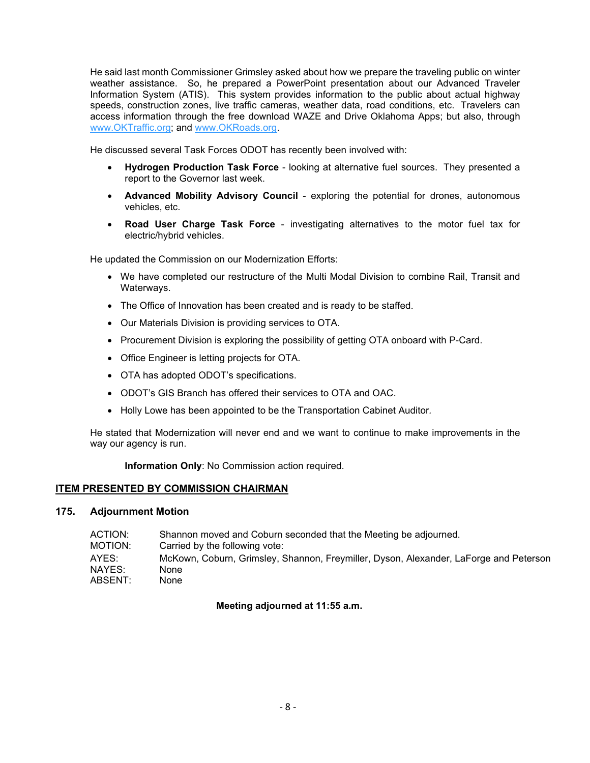He said last month Commissioner Grimsley asked about how we prepare the traveling public on winter weather assistance. So, he prepared a PowerPoint presentation about our Advanced Traveler Information System (ATIS). This system provides information to the public about actual highway speeds, construction zones, live traffic cameras, weather data, road conditions, etc. Travelers can access information through the free download WAZE and Drive Oklahoma Apps; but also, through [www.OKTraffic.org;](http://www.oktraffic.org/) and www.OKRoads.org.

He discussed several Task Forces ODOT has recently been involved with:

- **Hydrogen Production Task Force** looking at alternative fuel sources. They presented a report to the Governor last week.
- **Advanced Mobility Advisory Council** exploring the potential for drones, autonomous vehicles, etc.
- **Road User Charge Task Force** investigating alternatives to the motor fuel tax for electric/hybrid vehicles.

He updated the Commission on our Modernization Efforts:

- We have completed our restructure of the Multi Modal Division to combine Rail, Transit and Waterways.
- The Office of Innovation has been created and is ready to be staffed.
- Our Materials Division is providing services to OTA.
- Procurement Division is exploring the possibility of getting OTA onboard with P-Card.
- Office Engineer is letting projects for OTA.
- OTA has adopted ODOT's specifications.
- ODOT's GIS Branch has offered their services to OTA and OAC.
- Holly Lowe has been appointed to be the Transportation Cabinet Auditor*.*

He stated that Modernization will never end and we want to continue to make improvements in the way our agency is run.

**Information Only**: No Commission action required.

#### **ITEM PRESENTED BY COMMISSION CHAIRMAN**

#### **175. Adjournment Motion**

| ACTION: | Shannon moved and Coburn seconded that the Meeting be adjourned.                      |
|---------|---------------------------------------------------------------------------------------|
| MOTION: | Carried by the following vote:                                                        |
| AYES:   | McKown, Coburn, Grimsley, Shannon, Freymiller, Dyson, Alexander, LaForge and Peterson |
| NAYES:  | None                                                                                  |
| ABSENT: | None                                                                                  |

#### **Meeting adjourned at 11:55 a.m.**